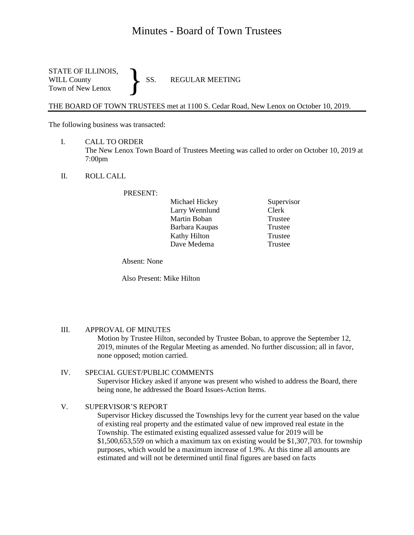# Minutes - Board of Town Trustees

STATE OF ILLINOIS,<br>WILL County SS. WILL County SS. REGULAR MEETING Town of New Lenox }

THE BOARD OF TOWN TRUSTEES met at 1100 S. Cedar Road, New Lenox on October 10, 2019.

The following business was transacted:

- I. CALL TO ORDER The New Lenox Town Board of Trustees Meeting was called to order on October 10, 2019 at 7:00pm
- II. ROLL CALL

PRESENT:

| Michael Hickey      |
|---------------------|
| Larry Wennlund      |
| Martin Boban        |
| Barbara Kaupas      |
| <b>Kathy Hilton</b> |
| Dave Medema         |

Supervisor Clerk Trustee Trustee Trustee **Trustee** 

Absent: None

Also Present: Mike Hilton

#### III. APPROVAL OF MINUTES

Motion by Trustee Hilton, seconded by Trustee Boban, to approve the September 12, 2019, minutes of the Regular Meeting as amended. No further discussion; all in favor, none opposed; motion carried.

# IV. SPECIAL GUEST/PUBLIC COMMENTS Supervisor Hickey asked if anyone was present who wished to address the Board, there being none, he addressed the Board Issues-Action Items.

### V. SUPERVISOR'S REPORT

Supervisor Hickey discussed the Townships levy for the current year based on the value of existing real property and the estimated value of new improved real estate in the Township. The estimated existing equalized assessed value for 2019 will be \$1,500,653,559 on which a maximum tax on existing would be \$1,307,703. for township purposes, which would be a maximum increase of 1.9%. At this time all amounts are estimated and will not be determined until final figures are based on facts